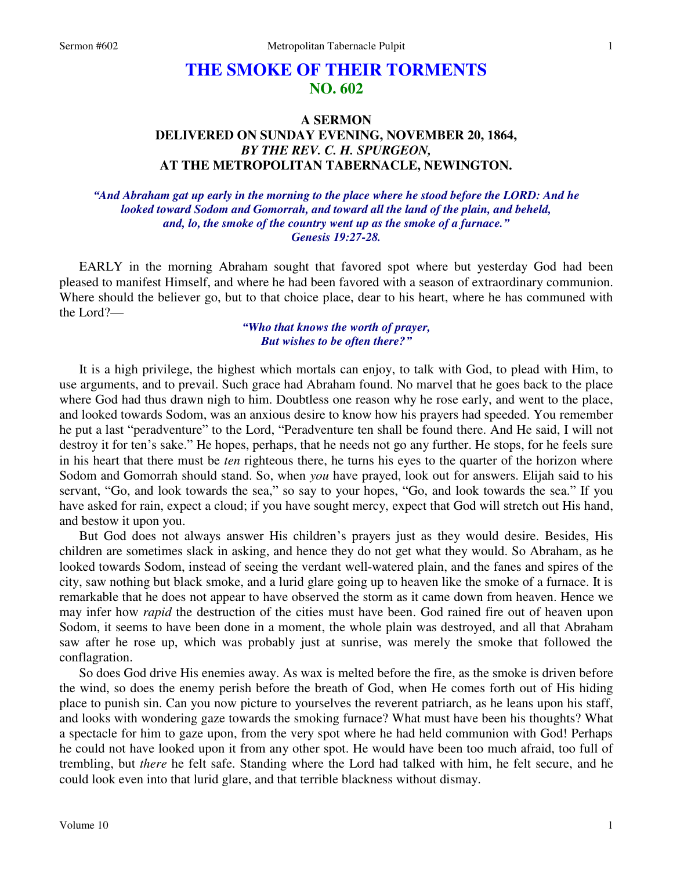## **THE SMOKE OF THEIR TORMENTS NO. 602**

## **A SERMON DELIVERED ON SUNDAY EVENING, NOVEMBER 20, 1864,**  *BY THE REV. C. H. SPURGEON,*  **AT THE METROPOLITAN TABERNACLE, NEWINGTON.**

*"And Abraham gat up early in the morning to the place where he stood before the LORD: And he looked toward Sodom and Gomorrah, and toward all the land of the plain, and beheld, and, lo, the smoke of the country went up as the smoke of a furnace." Genesis 19:27-28.* 

EARLY in the morning Abraham sought that favored spot where but yesterday God had been pleased to manifest Himself, and where he had been favored with a season of extraordinary communion. Where should the believer go, but to that choice place, dear to his heart, where he has communed with the Lord?—

## *"Who that knows the worth of prayer, But wishes to be often there?"*

It is a high privilege, the highest which mortals can enjoy, to talk with God, to plead with Him, to use arguments, and to prevail. Such grace had Abraham found. No marvel that he goes back to the place where God had thus drawn nigh to him. Doubtless one reason why he rose early, and went to the place, and looked towards Sodom, was an anxious desire to know how his prayers had speeded. You remember he put a last "peradventure" to the Lord, "Peradventure ten shall be found there. And He said, I will not destroy it for ten's sake." He hopes, perhaps, that he needs not go any further. He stops, for he feels sure in his heart that there must be *ten* righteous there, he turns his eyes to the quarter of the horizon where Sodom and Gomorrah should stand. So, when *you* have prayed, look out for answers. Elijah said to his servant, "Go, and look towards the sea," so say to your hopes, "Go, and look towards the sea." If you have asked for rain, expect a cloud; if you have sought mercy, expect that God will stretch out His hand, and bestow it upon you.

But God does not always answer His children's prayers just as they would desire. Besides, His children are sometimes slack in asking, and hence they do not get what they would. So Abraham, as he looked towards Sodom, instead of seeing the verdant well-watered plain, and the fanes and spires of the city, saw nothing but black smoke, and a lurid glare going up to heaven like the smoke of a furnace. It is remarkable that he does not appear to have observed the storm as it came down from heaven. Hence we may infer how *rapid* the destruction of the cities must have been. God rained fire out of heaven upon Sodom, it seems to have been done in a moment, the whole plain was destroyed, and all that Abraham saw after he rose up, which was probably just at sunrise, was merely the smoke that followed the conflagration.

So does God drive His enemies away. As wax is melted before the fire, as the smoke is driven before the wind, so does the enemy perish before the breath of God, when He comes forth out of His hiding place to punish sin. Can you now picture to yourselves the reverent patriarch, as he leans upon his staff, and looks with wondering gaze towards the smoking furnace? What must have been his thoughts? What a spectacle for him to gaze upon, from the very spot where he had held communion with God! Perhaps he could not have looked upon it from any other spot. He would have been too much afraid, too full of trembling, but *there* he felt safe. Standing where the Lord had talked with him, he felt secure, and he could look even into that lurid glare, and that terrible blackness without dismay.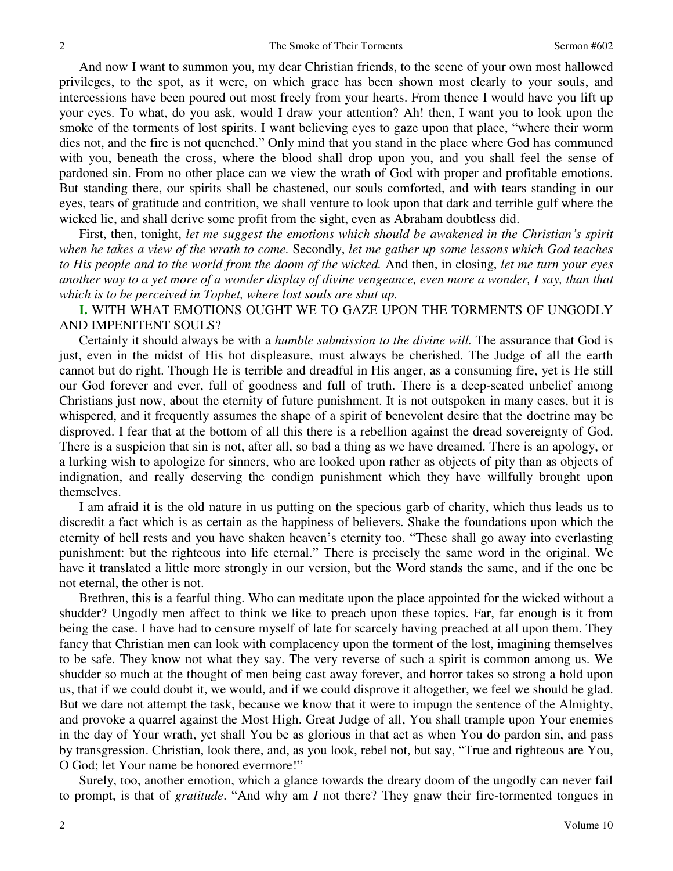And now I want to summon you, my dear Christian friends, to the scene of your own most hallowed privileges, to the spot, as it were, on which grace has been shown most clearly to your souls, and intercessions have been poured out most freely from your hearts. From thence I would have you lift up your eyes. To what, do you ask, would I draw your attention? Ah! then, I want you to look upon the smoke of the torments of lost spirits. I want believing eyes to gaze upon that place, "where their worm dies not, and the fire is not quenched." Only mind that you stand in the place where God has communed with you, beneath the cross, where the blood shall drop upon you, and you shall feel the sense of pardoned sin. From no other place can we view the wrath of God with proper and profitable emotions. But standing there, our spirits shall be chastened, our souls comforted, and with tears standing in our eyes, tears of gratitude and contrition, we shall venture to look upon that dark and terrible gulf where the wicked lie, and shall derive some profit from the sight, even as Abraham doubtless did.

First, then, tonight, *let me suggest the emotions which should be awakened in the Christian's spirit when he takes a view of the wrath to come.* Secondly, *let me gather up some lessons which God teaches to His people and to the world from the doom of the wicked.* And then, in closing, *let me turn your eyes another way to a yet more of a wonder display of divine vengeance, even more a wonder, I say, than that which is to be perceived in Tophet, where lost souls are shut up.*

**I.** WITH WHAT EMOTIONS OUGHT WE TO GAZE UPON THE TORMENTS OF UNGODLY AND IMPENITENT SOULS?

Certainly it should always be with a *humble submission to the divine will.* The assurance that God is just, even in the midst of His hot displeasure, must always be cherished. The Judge of all the earth cannot but do right. Though He is terrible and dreadful in His anger, as a consuming fire, yet is He still our God forever and ever, full of goodness and full of truth. There is a deep-seated unbelief among Christians just now, about the eternity of future punishment. It is not outspoken in many cases, but it is whispered, and it frequently assumes the shape of a spirit of benevolent desire that the doctrine may be disproved. I fear that at the bottom of all this there is a rebellion against the dread sovereignty of God. There is a suspicion that sin is not, after all, so bad a thing as we have dreamed. There is an apology, or a lurking wish to apologize for sinners, who are looked upon rather as objects of pity than as objects of indignation, and really deserving the condign punishment which they have willfully brought upon themselves.

I am afraid it is the old nature in us putting on the specious garb of charity, which thus leads us to discredit a fact which is as certain as the happiness of believers. Shake the foundations upon which the eternity of hell rests and you have shaken heaven's eternity too. "These shall go away into everlasting punishment: but the righteous into life eternal." There is precisely the same word in the original. We have it translated a little more strongly in our version, but the Word stands the same, and if the one be not eternal, the other is not.

Brethren, this is a fearful thing. Who can meditate upon the place appointed for the wicked without a shudder? Ungodly men affect to think we like to preach upon these topics. Far, far enough is it from being the case. I have had to censure myself of late for scarcely having preached at all upon them. They fancy that Christian men can look with complacency upon the torment of the lost, imagining themselves to be safe. They know not what they say. The very reverse of such a spirit is common among us. We shudder so much at the thought of men being cast away forever, and horror takes so strong a hold upon us, that if we could doubt it, we would, and if we could disprove it altogether, we feel we should be glad. But we dare not attempt the task, because we know that it were to impugn the sentence of the Almighty, and provoke a quarrel against the Most High. Great Judge of all, You shall trample upon Your enemies in the day of Your wrath, yet shall You be as glorious in that act as when You do pardon sin, and pass by transgression. Christian, look there, and, as you look, rebel not, but say, "True and righteous are You, O God; let Your name be honored evermore!"

Surely, too, another emotion, which a glance towards the dreary doom of the ungodly can never fail to prompt, is that of *gratitude*. "And why am *I* not there? They gnaw their fire-tormented tongues in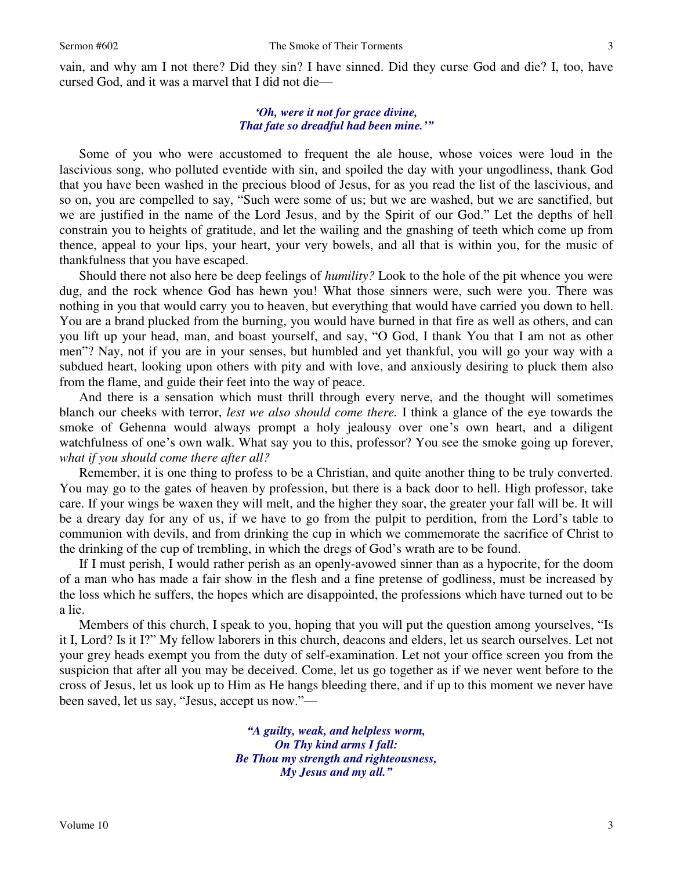vain, and why am I not there? Did they sin? I have sinned. Did they curse God and die? I, too, have cursed God, and it was a marvel that I did not die—

## *'Oh, were it not for grace divine, That fate so dreadful had been mine.'"*

Some of you who were accustomed to frequent the ale house, whose voices were loud in the lascivious song, who polluted eventide with sin, and spoiled the day with your ungodliness, thank God that you have been washed in the precious blood of Jesus, for as you read the list of the lascivious, and so on, you are compelled to say, "Such were some of us; but we are washed, but we are sanctified, but we are justified in the name of the Lord Jesus, and by the Spirit of our God." Let the depths of hell constrain you to heights of gratitude, and let the wailing and the gnashing of teeth which come up from thence, appeal to your lips, your heart, your very bowels, and all that is within you, for the music of thankfulness that you have escaped.

Should there not also here be deep feelings of *humility?* Look to the hole of the pit whence you were dug, and the rock whence God has hewn you! What those sinners were, such were you. There was nothing in you that would carry you to heaven, but everything that would have carried you down to hell. You are a brand plucked from the burning, you would have burned in that fire as well as others, and can you lift up your head, man, and boast yourself, and say, "O God, I thank You that I am not as other men"? Nay, not if you are in your senses, but humbled and yet thankful, you will go your way with a subdued heart, looking upon others with pity and with love, and anxiously desiring to pluck them also from the flame, and guide their feet into the way of peace.

And there is a sensation which must thrill through every nerve, and the thought will sometimes blanch our cheeks with terror, *lest we also should come there.* I think a glance of the eye towards the smoke of Gehenna would always prompt a holy jealousy over one's own heart, and a diligent watchfulness of one's own walk. What say you to this, professor? You see the smoke going up forever, *what if you should come there after all?*

Remember, it is one thing to profess to be a Christian, and quite another thing to be truly converted. You may go to the gates of heaven by profession, but there is a back door to hell. High professor, take care. If your wings be waxen they will melt, and the higher they soar, the greater your fall will be. It will be a dreary day for any of us, if we have to go from the pulpit to perdition, from the Lord's table to communion with devils, and from drinking the cup in which we commemorate the sacrifice of Christ to the drinking of the cup of trembling, in which the dregs of God's wrath are to be found.

If I must perish, I would rather perish as an openly-avowed sinner than as a hypocrite, for the doom of a man who has made a fair show in the flesh and a fine pretense of godliness, must be increased by the loss which he suffers, the hopes which are disappointed, the professions which have turned out to be a lie.

Members of this church, I speak to you, hoping that you will put the question among yourselves, "Is it I, Lord? Is it I?" My fellow laborers in this church, deacons and elders, let us search ourselves. Let not your grey heads exempt you from the duty of self-examination. Let not your office screen you from the suspicion that after all you may be deceived. Come, let us go together as if we never went before to the cross of Jesus, let us look up to Him as He hangs bleeding there, and if up to this moment we never have been saved, let us say, "Jesus, accept us now."—

> *"A guilty, weak, and helpless worm, On Thy kind arms I fall: Be Thou my strength and righteousness, My Jesus and my all."*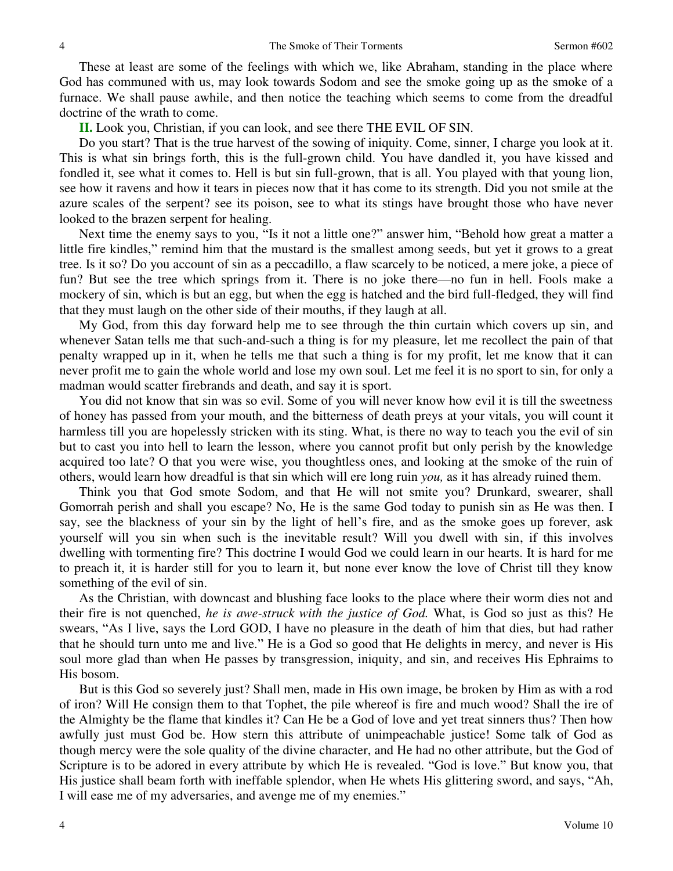These at least are some of the feelings with which we, like Abraham, standing in the place where God has communed with us, may look towards Sodom and see the smoke going up as the smoke of a furnace. We shall pause awhile, and then notice the teaching which seems to come from the dreadful doctrine of the wrath to come.

**II.** Look you, Christian, if you can look, and see there THE EVIL OF SIN.

Do you start? That is the true harvest of the sowing of iniquity. Come, sinner, I charge you look at it. This is what sin brings forth, this is the full-grown child. You have dandled it, you have kissed and fondled it, see what it comes to. Hell is but sin full-grown, that is all. You played with that young lion, see how it ravens and how it tears in pieces now that it has come to its strength. Did you not smile at the azure scales of the serpent? see its poison, see to what its stings have brought those who have never looked to the brazen serpent for healing.

Next time the enemy says to you, "Is it not a little one?" answer him, "Behold how great a matter a little fire kindles," remind him that the mustard is the smallest among seeds, but yet it grows to a great tree. Is it so? Do you account of sin as a peccadillo, a flaw scarcely to be noticed, a mere joke, a piece of fun? But see the tree which springs from it. There is no joke there—no fun in hell. Fools make a mockery of sin, which is but an egg, but when the egg is hatched and the bird full-fledged, they will find that they must laugh on the other side of their mouths, if they laugh at all.

My God, from this day forward help me to see through the thin curtain which covers up sin, and whenever Satan tells me that such-and-such a thing is for my pleasure, let me recollect the pain of that penalty wrapped up in it, when he tells me that such a thing is for my profit, let me know that it can never profit me to gain the whole world and lose my own soul. Let me feel it is no sport to sin, for only a madman would scatter firebrands and death, and say it is sport.

You did not know that sin was so evil. Some of you will never know how evil it is till the sweetness of honey has passed from your mouth, and the bitterness of death preys at your vitals, you will count it harmless till you are hopelessly stricken with its sting. What, is there no way to teach you the evil of sin but to cast you into hell to learn the lesson, where you cannot profit but only perish by the knowledge acquired too late? O that you were wise, you thoughtless ones, and looking at the smoke of the ruin of others, would learn how dreadful is that sin which will ere long ruin *you,* as it has already ruined them.

Think you that God smote Sodom, and that He will not smite you? Drunkard, swearer, shall Gomorrah perish and shall you escape? No, He is the same God today to punish sin as He was then. I say, see the blackness of your sin by the light of hell's fire, and as the smoke goes up forever, ask yourself will you sin when such is the inevitable result? Will you dwell with sin, if this involves dwelling with tormenting fire? This doctrine I would God we could learn in our hearts. It is hard for me to preach it, it is harder still for you to learn it, but none ever know the love of Christ till they know something of the evil of sin.

As the Christian, with downcast and blushing face looks to the place where their worm dies not and their fire is not quenched, *he is awe-struck with the justice of God.* What, is God so just as this? He swears, "As I live, says the Lord GOD, I have no pleasure in the death of him that dies, but had rather that he should turn unto me and live." He is a God so good that He delights in mercy, and never is His soul more glad than when He passes by transgression, iniquity, and sin, and receives His Ephraims to His bosom.

But is this God so severely just? Shall men, made in His own image, be broken by Him as with a rod of iron? Will He consign them to that Tophet, the pile whereof is fire and much wood? Shall the ire of the Almighty be the flame that kindles it? Can He be a God of love and yet treat sinners thus? Then how awfully just must God be. How stern this attribute of unimpeachable justice! Some talk of God as though mercy were the sole quality of the divine character, and He had no other attribute, but the God of Scripture is to be adored in every attribute by which He is revealed. "God is love." But know you, that His justice shall beam forth with ineffable splendor, when He whets His glittering sword, and says, "Ah, I will ease me of my adversaries, and avenge me of my enemies."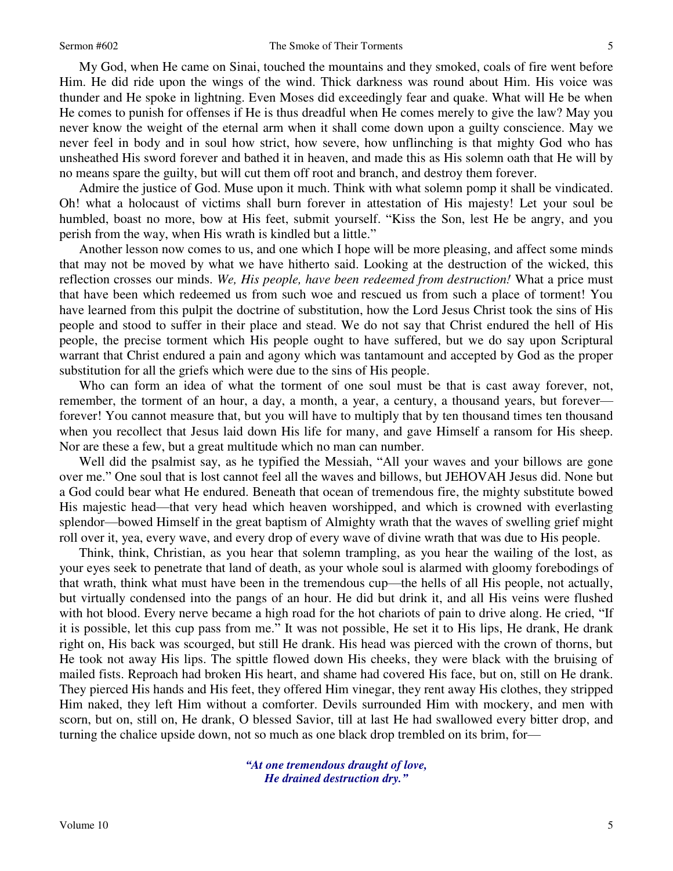My God, when He came on Sinai, touched the mountains and they smoked, coals of fire went before Him. He did ride upon the wings of the wind. Thick darkness was round about Him. His voice was thunder and He spoke in lightning. Even Moses did exceedingly fear and quake. What will He be when He comes to punish for offenses if He is thus dreadful when He comes merely to give the law? May you never know the weight of the eternal arm when it shall come down upon a guilty conscience. May we never feel in body and in soul how strict, how severe, how unflinching is that mighty God who has unsheathed His sword forever and bathed it in heaven, and made this as His solemn oath that He will by no means spare the guilty, but will cut them off root and branch, and destroy them forever.

Admire the justice of God. Muse upon it much. Think with what solemn pomp it shall be vindicated. Oh! what a holocaust of victims shall burn forever in attestation of His majesty! Let your soul be humbled, boast no more, bow at His feet, submit yourself. "Kiss the Son, lest He be angry, and you perish from the way, when His wrath is kindled but a little."

Another lesson now comes to us, and one which I hope will be more pleasing, and affect some minds that may not be moved by what we have hitherto said. Looking at the destruction of the wicked, this reflection crosses our minds. *We, His people, have been redeemed from destruction!* What a price must that have been which redeemed us from such woe and rescued us from such a place of torment! You have learned from this pulpit the doctrine of substitution, how the Lord Jesus Christ took the sins of His people and stood to suffer in their place and stead. We do not say that Christ endured the hell of His people, the precise torment which His people ought to have suffered, but we do say upon Scriptural warrant that Christ endured a pain and agony which was tantamount and accepted by God as the proper substitution for all the griefs which were due to the sins of His people.

Who can form an idea of what the torment of one soul must be that is cast away forever, not, remember, the torment of an hour, a day, a month, a year, a century, a thousand years, but forever forever! You cannot measure that, but you will have to multiply that by ten thousand times ten thousand when you recollect that Jesus laid down His life for many, and gave Himself a ransom for His sheep. Nor are these a few, but a great multitude which no man can number.

Well did the psalmist say, as he typified the Messiah, "All your waves and your billows are gone over me." One soul that is lost cannot feel all the waves and billows, but JEHOVAH Jesus did. None but a God could bear what He endured. Beneath that ocean of tremendous fire, the mighty substitute bowed His majestic head—that very head which heaven worshipped, and which is crowned with everlasting splendor—bowed Himself in the great baptism of Almighty wrath that the waves of swelling grief might roll over it, yea, every wave, and every drop of every wave of divine wrath that was due to His people.

Think, think, Christian, as you hear that solemn trampling, as you hear the wailing of the lost, as your eyes seek to penetrate that land of death, as your whole soul is alarmed with gloomy forebodings of that wrath, think what must have been in the tremendous cup—the hells of all His people, not actually, but virtually condensed into the pangs of an hour. He did but drink it, and all His veins were flushed with hot blood. Every nerve became a high road for the hot chariots of pain to drive along. He cried, "If it is possible, let this cup pass from me." It was not possible, He set it to His lips, He drank, He drank right on, His back was scourged, but still He drank. His head was pierced with the crown of thorns, but He took not away His lips. The spittle flowed down His cheeks, they were black with the bruising of mailed fists. Reproach had broken His heart, and shame had covered His face, but on, still on He drank. They pierced His hands and His feet, they offered Him vinegar, they rent away His clothes, they stripped Him naked, they left Him without a comforter. Devils surrounded Him with mockery, and men with scorn, but on, still on, He drank, O blessed Savior, till at last He had swallowed every bitter drop, and turning the chalice upside down, not so much as one black drop trembled on its brim, for—

> *"At one tremendous draught of love, He drained destruction dry."*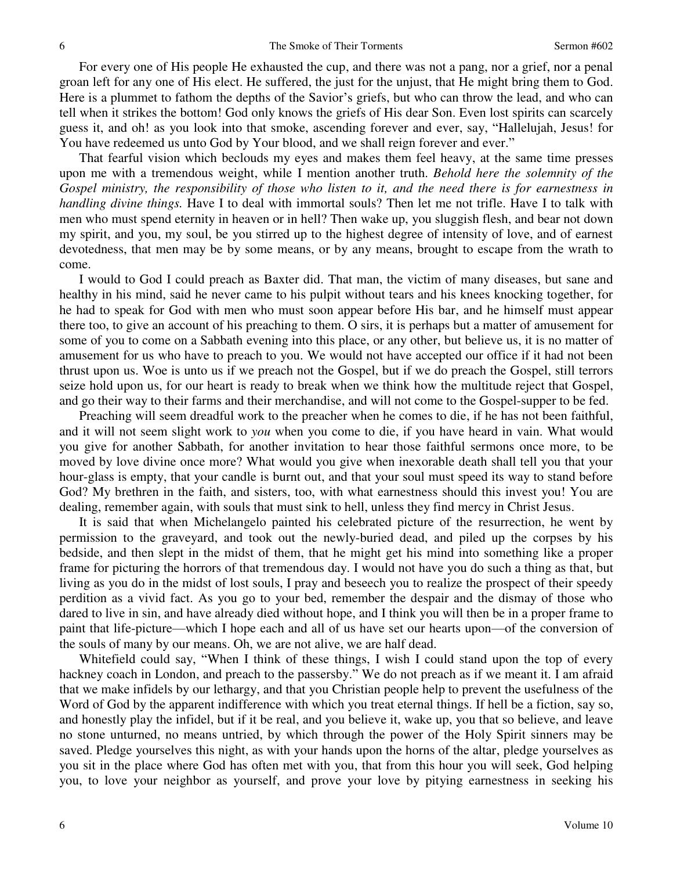For every one of His people He exhausted the cup, and there was not a pang, nor a grief, nor a penal groan left for any one of His elect. He suffered, the just for the unjust, that He might bring them to God. Here is a plummet to fathom the depths of the Savior's griefs, but who can throw the lead, and who can tell when it strikes the bottom! God only knows the griefs of His dear Son. Even lost spirits can scarcely guess it, and oh! as you look into that smoke, ascending forever and ever, say, "Hallelujah, Jesus! for You have redeemed us unto God by Your blood, and we shall reign forever and ever."

That fearful vision which beclouds my eyes and makes them feel heavy, at the same time presses upon me with a tremendous weight, while I mention another truth. *Behold here the solemnity of the Gospel ministry, the responsibility of those who listen to it, and the need there is for earnestness in handling divine things.* Have I to deal with immortal souls? Then let me not trifle. Have I to talk with men who must spend eternity in heaven or in hell? Then wake up, you sluggish flesh, and bear not down my spirit, and you, my soul, be you stirred up to the highest degree of intensity of love, and of earnest devotedness, that men may be by some means, or by any means, brought to escape from the wrath to come.

I would to God I could preach as Baxter did. That man, the victim of many diseases, but sane and healthy in his mind, said he never came to his pulpit without tears and his knees knocking together, for he had to speak for God with men who must soon appear before His bar, and he himself must appear there too, to give an account of his preaching to them. O sirs, it is perhaps but a matter of amusement for some of you to come on a Sabbath evening into this place, or any other, but believe us, it is no matter of amusement for us who have to preach to you. We would not have accepted our office if it had not been thrust upon us. Woe is unto us if we preach not the Gospel, but if we do preach the Gospel, still terrors seize hold upon us, for our heart is ready to break when we think how the multitude reject that Gospel, and go their way to their farms and their merchandise, and will not come to the Gospel-supper to be fed.

Preaching will seem dreadful work to the preacher when he comes to die, if he has not been faithful, and it will not seem slight work to *you* when you come to die, if you have heard in vain. What would you give for another Sabbath, for another invitation to hear those faithful sermons once more, to be moved by love divine once more? What would you give when inexorable death shall tell you that your hour-glass is empty, that your candle is burnt out, and that your soul must speed its way to stand before God? My brethren in the faith, and sisters, too, with what earnestness should this invest you! You are dealing, remember again, with souls that must sink to hell, unless they find mercy in Christ Jesus.

It is said that when Michelangelo painted his celebrated picture of the resurrection, he went by permission to the graveyard, and took out the newly-buried dead, and piled up the corpses by his bedside, and then slept in the midst of them, that he might get his mind into something like a proper frame for picturing the horrors of that tremendous day. I would not have you do such a thing as that, but living as you do in the midst of lost souls, I pray and beseech you to realize the prospect of their speedy perdition as a vivid fact. As you go to your bed, remember the despair and the dismay of those who dared to live in sin, and have already died without hope, and I think you will then be in a proper frame to paint that life-picture—which I hope each and all of us have set our hearts upon—of the conversion of the souls of many by our means. Oh, we are not alive, we are half dead.

Whitefield could say, "When I think of these things, I wish I could stand upon the top of every hackney coach in London, and preach to the passersby." We do not preach as if we meant it. I am afraid that we make infidels by our lethargy, and that you Christian people help to prevent the usefulness of the Word of God by the apparent indifference with which you treat eternal things. If hell be a fiction, say so, and honestly play the infidel, but if it be real, and you believe it, wake up, you that so believe, and leave no stone unturned, no means untried, by which through the power of the Holy Spirit sinners may be saved. Pledge yourselves this night, as with your hands upon the horns of the altar, pledge yourselves as you sit in the place where God has often met with you, that from this hour you will seek, God helping you, to love your neighbor as yourself, and prove your love by pitying earnestness in seeking his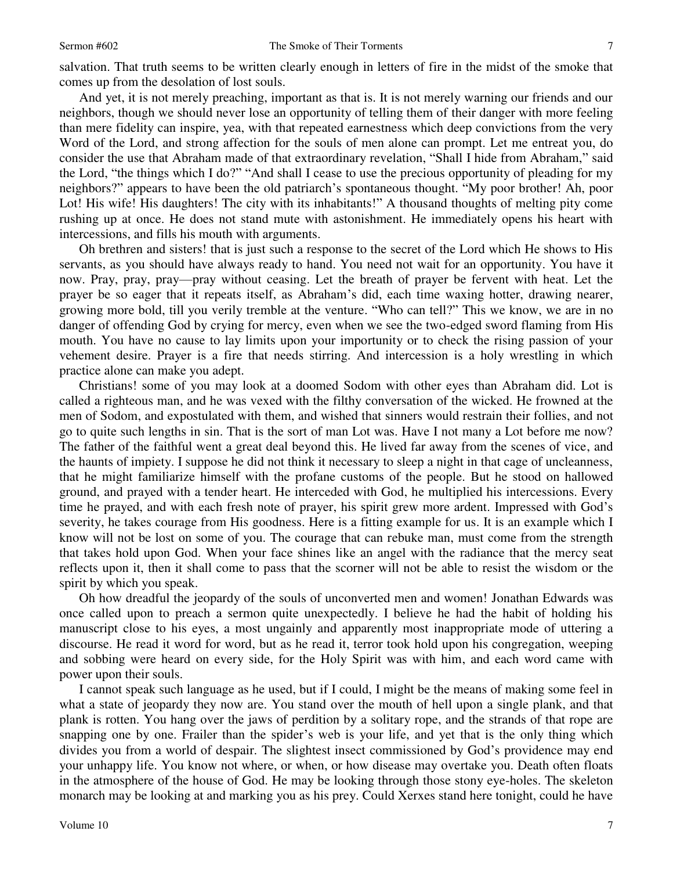salvation. That truth seems to be written clearly enough in letters of fire in the midst of the smoke that comes up from the desolation of lost souls.

And yet, it is not merely preaching, important as that is. It is not merely warning our friends and our neighbors, though we should never lose an opportunity of telling them of their danger with more feeling than mere fidelity can inspire, yea, with that repeated earnestness which deep convictions from the very Word of the Lord, and strong affection for the souls of men alone can prompt. Let me entreat you, do consider the use that Abraham made of that extraordinary revelation, "Shall I hide from Abraham," said the Lord, "the things which I do?" "And shall I cease to use the precious opportunity of pleading for my neighbors?" appears to have been the old patriarch's spontaneous thought. "My poor brother! Ah, poor Lot! His wife! His daughters! The city with its inhabitants!" A thousand thoughts of melting pity come rushing up at once. He does not stand mute with astonishment. He immediately opens his heart with intercessions, and fills his mouth with arguments.

Oh brethren and sisters! that is just such a response to the secret of the Lord which He shows to His servants, as you should have always ready to hand. You need not wait for an opportunity. You have it now. Pray, pray, pray—pray without ceasing. Let the breath of prayer be fervent with heat. Let the prayer be so eager that it repeats itself, as Abraham's did, each time waxing hotter, drawing nearer, growing more bold, till you verily tremble at the venture. "Who can tell?" This we know, we are in no danger of offending God by crying for mercy, even when we see the two-edged sword flaming from His mouth. You have no cause to lay limits upon your importunity or to check the rising passion of your vehement desire. Prayer is a fire that needs stirring. And intercession is a holy wrestling in which practice alone can make you adept.

Christians! some of you may look at a doomed Sodom with other eyes than Abraham did. Lot is called a righteous man, and he was vexed with the filthy conversation of the wicked. He frowned at the men of Sodom, and expostulated with them, and wished that sinners would restrain their follies, and not go to quite such lengths in sin. That is the sort of man Lot was. Have I not many a Lot before me now? The father of the faithful went a great deal beyond this. He lived far away from the scenes of vice, and the haunts of impiety. I suppose he did not think it necessary to sleep a night in that cage of uncleanness, that he might familiarize himself with the profane customs of the people. But he stood on hallowed ground, and prayed with a tender heart. He interceded with God, he multiplied his intercessions. Every time he prayed, and with each fresh note of prayer, his spirit grew more ardent. Impressed with God's severity, he takes courage from His goodness. Here is a fitting example for us. It is an example which I know will not be lost on some of you. The courage that can rebuke man, must come from the strength that takes hold upon God. When your face shines like an angel with the radiance that the mercy seat reflects upon it, then it shall come to pass that the scorner will not be able to resist the wisdom or the spirit by which you speak.

Oh how dreadful the jeopardy of the souls of unconverted men and women! Jonathan Edwards was once called upon to preach a sermon quite unexpectedly. I believe he had the habit of holding his manuscript close to his eyes, a most ungainly and apparently most inappropriate mode of uttering a discourse. He read it word for word, but as he read it, terror took hold upon his congregation, weeping and sobbing were heard on every side, for the Holy Spirit was with him, and each word came with power upon their souls.

I cannot speak such language as he used, but if I could, I might be the means of making some feel in what a state of jeopardy they now are. You stand over the mouth of hell upon a single plank, and that plank is rotten. You hang over the jaws of perdition by a solitary rope, and the strands of that rope are snapping one by one. Frailer than the spider's web is your life, and yet that is the only thing which divides you from a world of despair. The slightest insect commissioned by God's providence may end your unhappy life. You know not where, or when, or how disease may overtake you. Death often floats in the atmosphere of the house of God. He may be looking through those stony eye-holes. The skeleton monarch may be looking at and marking you as his prey. Could Xerxes stand here tonight, could he have